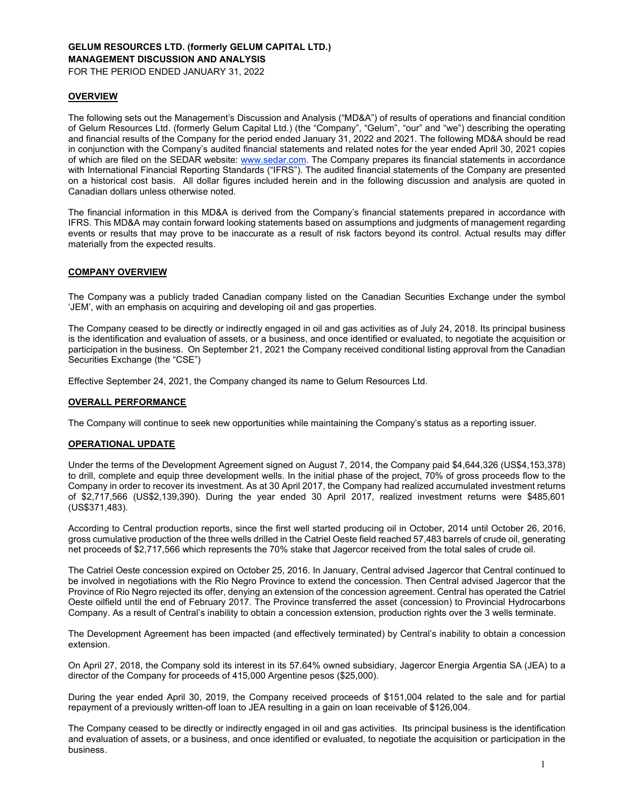# **GELUM RESOURCES LTD. (formerly GELUM CAPITAL LTD.) MANAGEMENT DISCUSSION AND ANALYSIS**

FOR THE PERIOD ENDED JANUARY 31, 2022

### **OVERVIEW**

The following sets out the Management's Discussion and Analysis ("MD&A") of results of operations and financial condition of Gelum Resources Ltd. (formerly Gelum Capital Ltd.) (the "Company", "Gelum", "our" and "we") describing the operating and financial results of the Company for the period ended January 31, 2022 and 2021. The following MD&A should be read in conjunction with the Company's audited financial statements and related notes for the year ended April 30, 2021 copies of which are filed on the SEDAR website: www.sedar.com. The Company prepares its financial statements in accordance with International Financial Reporting Standards ("IFRS"). The audited financial statements of the Company are presented on a historical cost basis. All dollar figures included herein and in the following discussion and analysis are quoted in Canadian dollars unless otherwise noted.

The financial information in this MD&A is derived from the Company's financial statements prepared in accordance with IFRS. This MD&A may contain forward looking statements based on assumptions and judgments of management regarding events or results that may prove to be inaccurate as a result of risk factors beyond its control. Actual results may differ materially from the expected results.

# **COMPANY OVERVIEW**

The Company was a publicly traded Canadian company listed on the Canadian Securities Exchange under the symbol 'JEM', with an emphasis on acquiring and developing oil and gas properties.

The Company ceased to be directly or indirectly engaged in oil and gas activities as of July 24, 2018. Its principal business is the identification and evaluation of assets, or a business, and once identified or evaluated, to negotiate the acquisition or participation in the business. On September 21, 2021 the Company received conditional listing approval from the Canadian Securities Exchange (the "CSE")

Effective September 24, 2021, the Company changed its name to Gelum Resources Ltd.

### **OVERALL PERFORMANCE**

The Company will continue to seek new opportunities while maintaining the Company's status as a reporting issuer.

#### **OPERATIONAL UPDATE**

Under the terms of the Development Agreement signed on August 7, 2014, the Company paid \$4,644,326 (US\$4,153,378) to drill, complete and equip three development wells. In the initial phase of the project, 70% of gross proceeds flow to the Company in order to recover its investment. As at 30 April 2017, the Company had realized accumulated investment returns of \$2,717,566 (US\$2,139,390). During the year ended 30 April 2017, realized investment returns were \$485,601 (US\$371,483).

According to Central production reports, since the first well started producing oil in October, 2014 until October 26, 2016, gross cumulative production of the three wells drilled in the Catriel Oeste field reached 57,483 barrels of crude oil, generating net proceeds of \$2,717,566 which represents the 70% stake that Jagercor received from the total sales of crude oil.

The Catriel Oeste concession expired on October 25, 2016. In January, Central advised Jagercor that Central continued to be involved in negotiations with the Rio Negro Province to extend the concession. Then Central advised Jagercor that the Province of Rio Negro rejected its offer, denying an extension of the concession agreement. Central has operated the Catriel Oeste oilfield until the end of February 2017. The Province transferred the asset (concession) to Provincial Hydrocarbons Company. As a result of Central's inability to obtain a concession extension, production rights over the 3 wells terminate.

The Development Agreement has been impacted (and effectively terminated) by Central's inability to obtain a concession extension.

On April 27, 2018, the Company sold its interest in its 57.64% owned subsidiary, Jagercor Energia Argentia SA (JEA) to a director of the Company for proceeds of 415,000 Argentine pesos (\$25,000).

During the year ended April 30, 2019, the Company received proceeds of \$151,004 related to the sale and for partial repayment of a previously written-off loan to JEA resulting in a gain on loan receivable of \$126,004.

The Company ceased to be directly or indirectly engaged in oil and gas activities. Its principal business is the identification and evaluation of assets, or a business, and once identified or evaluated, to negotiate the acquisition or participation in the business.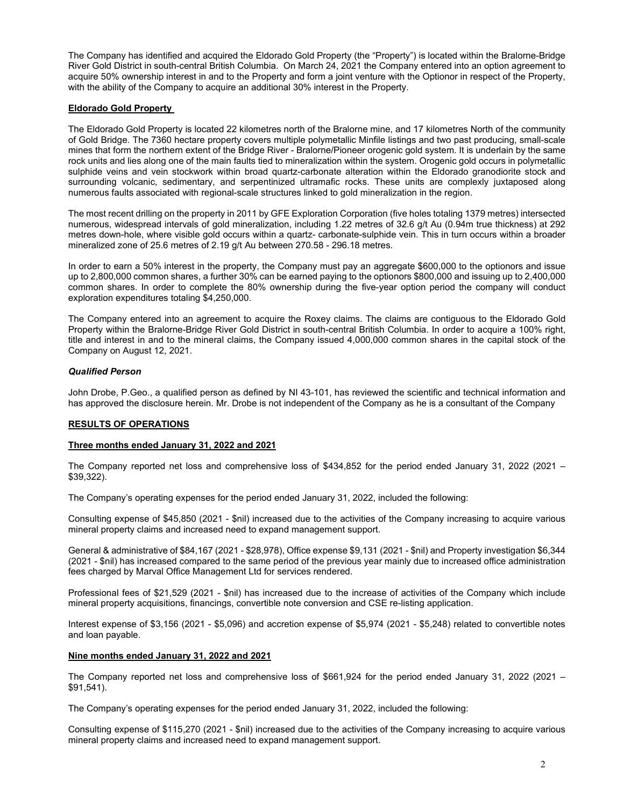The Company has identified and acquired the Eldorado Gold Property (the "Property") is located within the Bralorne-Bridge River Gold District in south-central British Columbia. On March 24, 2021 the Company entered into an option agreement to acquire 50% ownership interest in and to the Property and form a joint venture with the Optionor in respect of the Property, with the ability of the Company to acquire an additional 30% interest in the Property.

### **Eldorado Gold Property**

The Eldorado Gold Property is located 22 kilometres north of the Bralorne mine, and 17 kilometres North of the community of Gold Bridge. The 7360 hectare property covers multiple polymetallic Minfile listings and two past producing, small-scale mines that form the northern extent of the Bridge River - Bralorne/Pioneer orogenic gold system. It is underlain by the same rock units and lies along one of the main faults tied to mineralization within the system. Orogenic gold occurs in polymetallic sulphide veins and vein stockwork within broad quartz-carbonate alteration within the Eldorado granodiorite stock and surrounding volcanic, sedimentary, and serpentinized ultramafic rocks. These units are complexly juxtaposed along numerous faults associated with regional-scale structures linked to gold mineralization in the region.

The most recent drilling on the property in 2011 by GFE Exploration Corporation (five holes totaling 1379 metres) intersected numerous, widespread intervals of gold mineralization, including 1.22 metres of 32.6 g/t Au (0.94m true thickness) at 292 metres down-hole, where visible gold occurs within a quartz- carbonate-sulphide vein. This in turn occurs within a broader mineralized zone of 25.6 metres of 2.19 g/t Au between 270.58 - 296.18 metres.

In order to earn a 50% interest in the property, the Company must pay an aggregate \$600,000 to the optionors and issue up to 2,800,000 common shares, a further 30% can be earned paying to the optionors \$800,000 and issuing up to 2,400,000 common shares. In order to complete the 80% ownership during the five-year option period the company will conduct exploration expenditures totaling \$4,250,000.

The Company entered into an agreement to acquire the Roxey claims. The claims are contiguous to the Eldorado Gold Property within the Bralorne-Bridge River Gold District in south-central British Columbia. In order to acquire a 100% right, title and interest in and to the mineral claims, the Company issued 4,000,000 common shares in the capital stock of the Company on August 12, 2021.

### *Qualified Person*

John Drobe, P.Geo., a qualified person as defined by NI 43-101, has reviewed the scientific and technical information and has approved the disclosure herein. Mr. Drobe is not independent of the Company as he is a consultant of the Company

# **RESULTS OF OPERATIONS**

### **Three months ended January 31, 2022 and 2021**

The Company reported net loss and comprehensive loss of \$434,852 for the period ended January 31, 2022 (2021 – \$39,322).

The Company's operating expenses for the period ended January 31, 2022, included the following:

Consulting expense of \$45,850 (2021 - \$nil) increased due to the activities of the Company increasing to acquire various mineral property claims and increased need to expand management support.

General & administrative of \$84,167 (2021 - \$28,978), Office expense \$9,131 (2021 - \$nil) and Property investigation \$6,344 (2021 - \$nil) has increased compared to the same period of the previous year mainly due to increased office administration fees charged by Marval Office Management Ltd for services rendered.

Professional fees of \$21,529 (2021 - \$nil) has increased due to the increase of activities of the Company which include mineral property acquisitions, financings, convertible note conversion and CSE re-listing application.

Interest expense of \$3,156 (2021 - \$5,096) and accretion expense of \$5,974 (2021 - \$5,248) related to convertible notes and loan payable.

### **Nine months ended January 31, 2022 and 2021**

The Company reported net loss and comprehensive loss of \$661,924 for the period ended January 31, 2022 (2021 – \$91,541).

The Company's operating expenses for the period ended January 31, 2022, included the following:

Consulting expense of \$115,270 (2021 - \$nil) increased due to the activities of the Company increasing to acquire various mineral property claims and increased need to expand management support.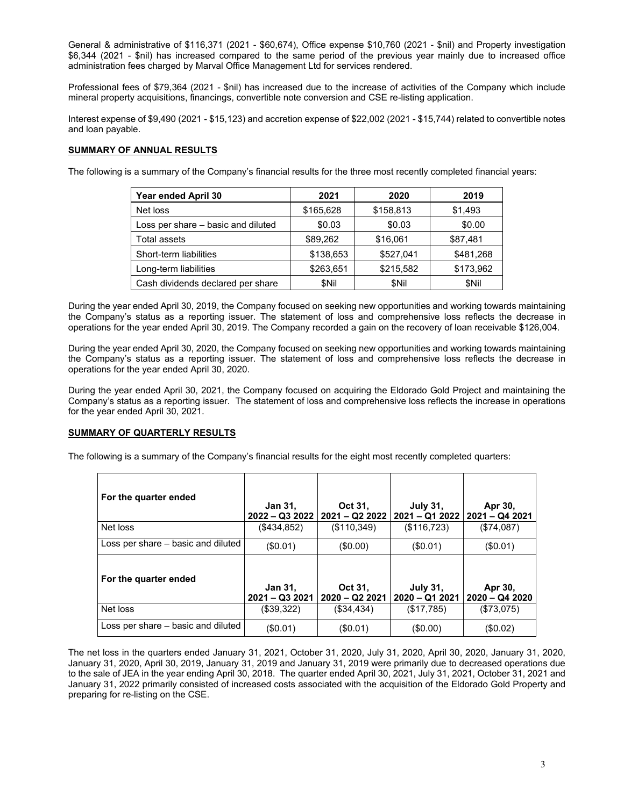General & administrative of \$116,371 (2021 - \$60,674), Office expense \$10,760 (2021 - \$nil) and Property investigation \$6,344 (2021 - \$nil) has increased compared to the same period of the previous year mainly due to increased office administration fees charged by Marval Office Management Ltd for services rendered.

Professional fees of \$79,364 (2021 - \$nil) has increased due to the increase of activities of the Company which include mineral property acquisitions, financings, convertible note conversion and CSE re-listing application.

Interest expense of \$9,490 (2021 - \$15,123) and accretion expense of \$22,002 (2021 - \$15,744) related to convertible notes and loan payable.

### **SUMMARY OF ANNUAL RESULTS**

The following is a summary of the Company's financial results for the three most recently completed financial years:

| Year ended April 30                | 2021      | 2020      | 2019      |
|------------------------------------|-----------|-----------|-----------|
| Net loss                           | \$165,628 | \$158,813 | \$1,493   |
| Loss per share - basic and diluted | \$0.03    | \$0.03    | \$0.00    |
| Total assets                       | \$89,262  | \$16,061  | \$87,481  |
| Short-term liabilities             | \$138.653 | \$527.041 | \$481,268 |
| Long-term liabilities              | \$263,651 | \$215,582 | \$173,962 |
| Cash dividends declared per share  | \$Nil     | \$Nil     | \$Nil     |

During the year ended April 30, 2019, the Company focused on seeking new opportunities and working towards maintaining the Company's status as a reporting issuer. The statement of loss and comprehensive loss reflects the decrease in operations for the year ended April 30, 2019. The Company recorded a gain on the recovery of loan receivable \$126,004.

During the year ended April 30, 2020, the Company focused on seeking new opportunities and working towards maintaining the Company's status as a reporting issuer. The statement of loss and comprehensive loss reflects the decrease in operations for the year ended April 30, 2020.

During the year ended April 30, 2021, the Company focused on acquiring the Eldorado Gold Project and maintaining the Company's status as a reporting issuer. The statement of loss and comprehensive loss reflects the increase in operations for the year ended April 30, 2021.

### **SUMMARY OF QUARTERLY RESULTS**

The following is a summary of the Company's financial results for the eight most recently completed quarters:

| For the quarter ended              | Jan 31,<br>$2022 - Q32022$        | Oct 31,<br>2021 - Q2 2022   | <b>July 31,</b><br>$2021 - Q12022$ | Apr 30,<br>2021 - Q4 2021 |
|------------------------------------|-----------------------------------|-----------------------------|------------------------------------|---------------------------|
| Net loss                           | (\$434,852)                       | (\$110,349)                 | (\$116,723)                        | (\$74,087)                |
| Loss per share – basic and diluted | (\$0.01)                          | $($ \$0.00)                 | (\$0.01)                           | (\$0.01)                  |
| For the quarter ended              | <b>Jan 31,</b><br>$2021 - Q32021$ | Oct 31,<br>$2020 - Q222021$ | <b>July 31,</b><br>$2020 - Q12021$ | Apr 30,<br>2020 - Q4 2020 |
| Net loss                           | (\$39,322)                        | (\$34,434)                  | (\$17,785)                         | (\$73,075)                |
| Loss per share – basic and diluted | (\$0.01)                          | (S0.01)                     | (\$0.00)                           | (\$0.02)                  |

The net loss in the quarters ended January 31, 2021, October 31, 2020, July 31, 2020, April 30, 2020, January 31, 2020, January 31, 2020, April 30, 2019, January 31, 2019 and January 31, 2019 were primarily due to decreased operations due to the sale of JEA in the year ending April 30, 2018. The quarter ended April 30, 2021, July 31, 2021, October 31, 2021 and January 31, 2022 primarily consisted of increased costs associated with the acquisition of the Eldorado Gold Property and preparing for re-listing on the CSE.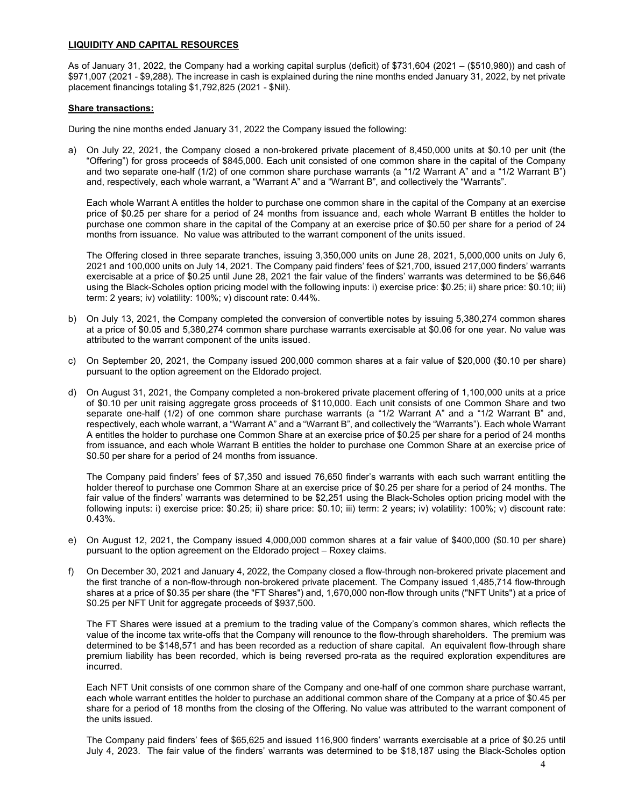## **LIQUIDITY AND CAPITAL RESOURCES**

As of January 31, 2022, the Company had a working capital surplus (deficit) of \$731,604 (2021 – (\$510,980)) and cash of \$971,007 (2021 - \$9,288). The increase in cash is explained during the nine months ended January 31, 2022, by net private placement financings totaling \$1,792,825 (2021 - \$Nil).

### **Share transactions:**

During the nine months ended January 31, 2022 the Company issued the following:

a) On July 22, 2021, the Company closed a non-brokered private placement of 8,450,000 units at \$0.10 per unit (the "Offering") for gross proceeds of \$845,000. Each unit consisted of one common share in the capital of the Company and two separate one-half (1/2) of one common share purchase warrants (a "1/2 Warrant A" and a "1/2 Warrant B") and, respectively, each whole warrant, a "Warrant A" and a "Warrant B", and collectively the "Warrants".

Each whole Warrant A entitles the holder to purchase one common share in the capital of the Company at an exercise price of \$0.25 per share for a period of 24 months from issuance and, each whole Warrant B entitles the holder to purchase one common share in the capital of the Company at an exercise price of \$0.50 per share for a period of 24 months from issuance. No value was attributed to the warrant component of the units issued.

The Offering closed in three separate tranches, issuing 3,350,000 units on June 28, 2021, 5,000,000 units on July 6, 2021 and 100,000 units on July 14, 2021. The Company paid finders' fees of \$21,700, issued 217,000 finders' warrants exercisable at a price of \$0.25 until June 28, 2021 the fair value of the finders' warrants was determined to be \$6,646 using the Black-Scholes option pricing model with the following inputs: i) exercise price: \$0.25; ii) share price: \$0.10; iii) term: 2 years; iv) volatility: 100%; v) discount rate: 0.44%.

- b) On July 13, 2021, the Company completed the conversion of convertible notes by issuing 5,380,274 common shares at a price of \$0.05 and 5,380,274 common share purchase warrants exercisable at \$0.06 for one year. No value was attributed to the warrant component of the units issued.
- c) On September 20, 2021, the Company issued 200,000 common shares at a fair value of \$20,000 (\$0.10 per share) pursuant to the option agreement on the Eldorado project.
- d) On August 31, 2021, the Company completed a non-brokered private placement offering of 1,100,000 units at a price of \$0.10 per unit raising aggregate gross proceeds of \$110,000. Each unit consists of one Common Share and two separate one-half (1/2) of one common share purchase warrants (a "1/2 Warrant A" and a "1/2 Warrant B" and, respectively, each whole warrant, a "Warrant A" and a "Warrant B", and collectively the "Warrants"). Each whole Warrant A entitles the holder to purchase one Common Share at an exercise price of \$0.25 per share for a period of 24 months from issuance, and each whole Warrant B entitles the holder to purchase one Common Share at an exercise price of \$0.50 per share for a period of 24 months from issuance.

The Company paid finders' fees of \$7,350 and issued 76,650 finder's warrants with each such warrant entitling the holder thereof to purchase one Common Share at an exercise price of \$0.25 per share for a period of 24 months. The fair value of the finders' warrants was determined to be \$2,251 using the Black-Scholes option pricing model with the following inputs: i) exercise price: \$0.25; ii) share price: \$0.10; iii) term: 2 years; iv) volatility: 100%; v) discount rate: 0.43%.

- e) On August 12, 2021, the Company issued 4,000,000 common shares at a fair value of \$400,000 (\$0.10 per share) pursuant to the option agreement on the Eldorado project – Roxey claims.
- f) On December 30, 2021 and January 4, 2022, the Company closed a flow-through non-brokered private placement and the first tranche of a non-flow-through non-brokered private placement. The Company issued 1,485,714 flow-through shares at a price of \$0.35 per share (the "FT Shares") and, 1,670,000 non-flow through units ("NFT Units") at a price of \$0.25 per NFT Unit for aggregate proceeds of \$937,500.

The FT Shares were issued at a premium to the trading value of the Company's common shares, which reflects the value of the income tax write-offs that the Company will renounce to the flow-through shareholders. The premium was determined to be \$148,571 and has been recorded as a reduction of share capital. An equivalent flow-through share premium liability has been recorded, which is being reversed pro-rata as the required exploration expenditures are incurred.

Each NFT Unit consists of one common share of the Company and one-half of one common share purchase warrant, each whole warrant entitles the holder to purchase an additional common share of the Company at a price of \$0.45 per share for a period of 18 months from the closing of the Offering. No value was attributed to the warrant component of the units issued.

The Company paid finders' fees of \$65,625 and issued 116,900 finders' warrants exercisable at a price of \$0.25 until July 4, 2023. The fair value of the finders' warrants was determined to be \$18,187 using the Black-Scholes option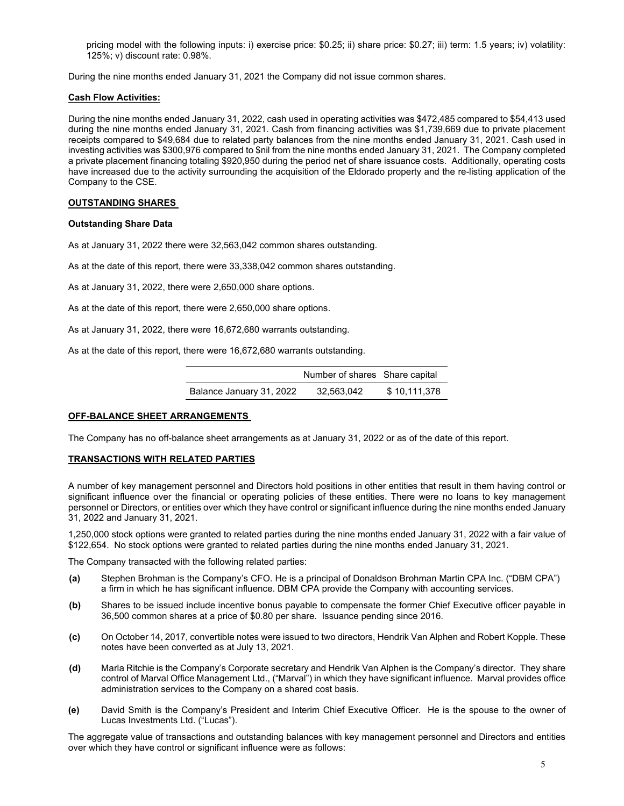pricing model with the following inputs: i) exercise price: \$0.25; ii) share price: \$0.27; iii) term: 1.5 years; iv) volatility: 125%; v) discount rate: 0.98%.

During the nine months ended January 31, 2021 the Company did not issue common shares.

#### **Cash Flow Activities:**

During the nine months ended January 31, 2022, cash used in operating activities was \$472,485 compared to \$54,413 used during the nine months ended January 31, 2021. Cash from financing activities was \$1,739,669 due to private placement receipts compared to \$49,684 due to related party balances from the nine months ended January 31, 2021. Cash used in investing activities was \$300,976 compared to \$nil from the nine months ended January 31, 2021. The Company completed a private placement financing totaling \$920,950 during the period net of share issuance costs. Additionally, operating costs have increased due to the activity surrounding the acquisition of the Eldorado property and the re-listing application of the Company to the CSE.

#### **OUTSTANDING SHARES**

#### **Outstanding Share Data**

As at January 31, 2022 there were 32,563,042 common shares outstanding.

As at the date of this report, there were 33,338,042 common shares outstanding.

As at January 31, 2022, there were 2,650,000 share options.

As at the date of this report, there were 2,650,000 share options.

As at January 31, 2022, there were 16,672,680 warrants outstanding.

As at the date of this report, there were 16,672,680 warrants outstanding.

|                          | Number of shares Share capital |              |
|--------------------------|--------------------------------|--------------|
| Balance January 31, 2022 | 32.563.042                     | \$10,111,378 |

### **OFF-BALANCE SHEET ARRANGEMENTS**

The Company has no off-balance sheet arrangements as at January 31, 2022 or as of the date of this report.

### **TRANSACTIONS WITH RELATED PARTIES**

A number of key management personnel and Directors hold positions in other entities that result in them having control or significant influence over the financial or operating policies of these entities. There were no loans to key management personnel or Directors, or entities over which they have control or significant influence during the nine months ended January 31, 2022 and January 31, 2021.

1,250,000 stock options were granted to related parties during the nine months ended January 31, 2022 with a fair value of \$122,654. No stock options were granted to related parties during the nine months ended January 31, 2021.

The Company transacted with the following related parties:

- **(a)** Stephen Brohman is the Company's CFO. He is a principal of Donaldson Brohman Martin CPA Inc. ("DBM CPA") a firm in which he has significant influence. DBM CPA provide the Company with accounting services.
- **(b)** Shares to be issued include incentive bonus payable to compensate the former Chief Executive officer payable in 36,500 common shares at a price of \$0.80 per share. Issuance pending since 2016.
- **(c)** On October 14, 2017, convertible notes were issued to two directors, Hendrik Van Alphen and Robert Kopple. These notes have been converted as at July 13, 2021.
- **(d)** Marla Ritchie is the Company's Corporate secretary and Hendrik Van Alphen is the Company's director. They share control of Marval Office Management Ltd., ("Marval") in which they have significant influence. Marval provides office administration services to the Company on a shared cost basis.
- **(e)** David Smith is the Company's President and Interim Chief Executive Officer. He is the spouse to the owner of Lucas Investments Ltd. ("Lucas").

The aggregate value of transactions and outstanding balances with key management personnel and Directors and entities over which they have control or significant influence were as follows: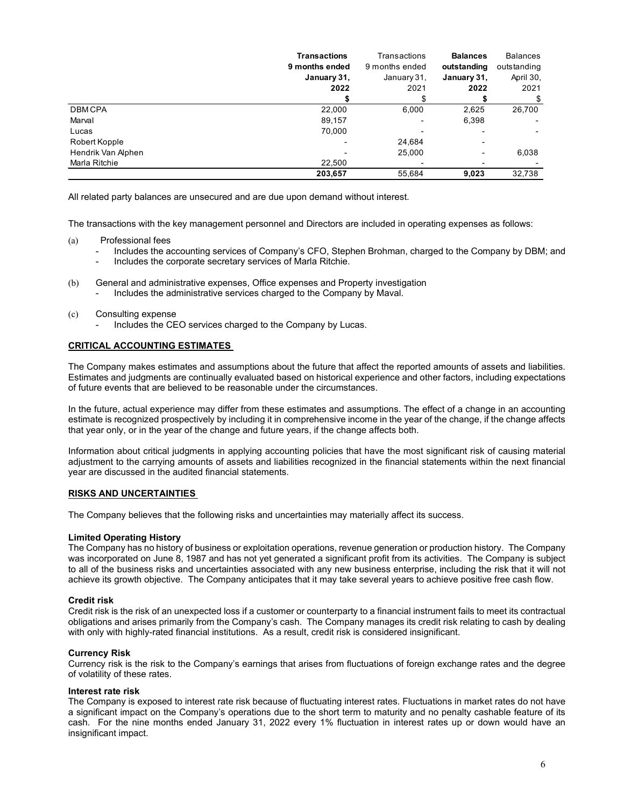|                    | <b>Transactions</b> | Transactions   | <b>Balances</b> | <b>Balances</b> |
|--------------------|---------------------|----------------|-----------------|-----------------|
|                    | 9 months ended      | 9 months ended | outstanding     | outstanding     |
|                    | January 31,         | January 31,    | January 31,     | April 30,       |
|                    | 2022                | 2021           | 2022            | 2021            |
|                    |                     |                |                 | \$              |
| <b>DBMCPA</b>      | 22,000              | 6,000          | 2,625           | 26,700          |
| Marval             | 89,157              |                | 6,398           |                 |
| Lucas              | 70.000              |                |                 |                 |
| Robert Kopple      |                     | 24,684         | -               |                 |
| Hendrik Van Alphen |                     | 25,000         | -               | 6,038           |
| Marla Ritchie      | 22,500              |                | -               |                 |
|                    | 203,657             | 55,684         | 9,023           | 32,738          |

All related party balances are unsecured and are due upon demand without interest.

The transactions with the key management personnel and Directors are included in operating expenses as follows:

- (a) Professional fees
	- Includes the accounting services of Company's CFO, Stephen Brohman, charged to the Company by DBM; and
	- Includes the corporate secretary services of Marla Ritchie.
- (b) General and administrative expenses, Office expenses and Property investigation
	- Includes the administrative services charged to the Company by Maval.
- (c) Consulting expense
	- Includes the CEO services charged to the Company by Lucas.

### **CRITICAL ACCOUNTING ESTIMATES**

The Company makes estimates and assumptions about the future that affect the reported amounts of assets and liabilities. Estimates and judgments are continually evaluated based on historical experience and other factors, including expectations of future events that are believed to be reasonable under the circumstances.

In the future, actual experience may differ from these estimates and assumptions. The effect of a change in an accounting estimate is recognized prospectively by including it in comprehensive income in the year of the change, if the change affects that year only, or in the year of the change and future years, if the change affects both.

Information about critical judgments in applying accounting policies that have the most significant risk of causing material adjustment to the carrying amounts of assets and liabilities recognized in the financial statements within the next financial year are discussed in the audited financial statements.

### **RISKS AND UNCERTAINTIES**

The Company believes that the following risks and uncertainties may materially affect its success.

#### **Limited Operating History**

The Company has no history of business or exploitation operations, revenue generation or production history. The Company was incorporated on June 8, 1987 and has not yet generated a significant profit from its activities. The Company is subject to all of the business risks and uncertainties associated with any new business enterprise, including the risk that it will not achieve its growth objective. The Company anticipates that it may take several years to achieve positive free cash flow.

### **Credit risk**

Credit risk is the risk of an unexpected loss if a customer or counterparty to a financial instrument fails to meet its contractual obligations and arises primarily from the Company's cash. The Company manages its credit risk relating to cash by dealing with only with highly-rated financial institutions. As a result, credit risk is considered insignificant.

### **Currency Risk**

Currency risk is the risk to the Company's earnings that arises from fluctuations of foreign exchange rates and the degree of volatility of these rates.

#### **Interest rate risk**

The Company is exposed to interest rate risk because of fluctuating interest rates. Fluctuations in market rates do not have a significant impact on the Company's operations due to the short term to maturity and no penalty cashable feature of its cash. For the nine months ended January 31, 2022 every 1% fluctuation in interest rates up or down would have an insignificant impact.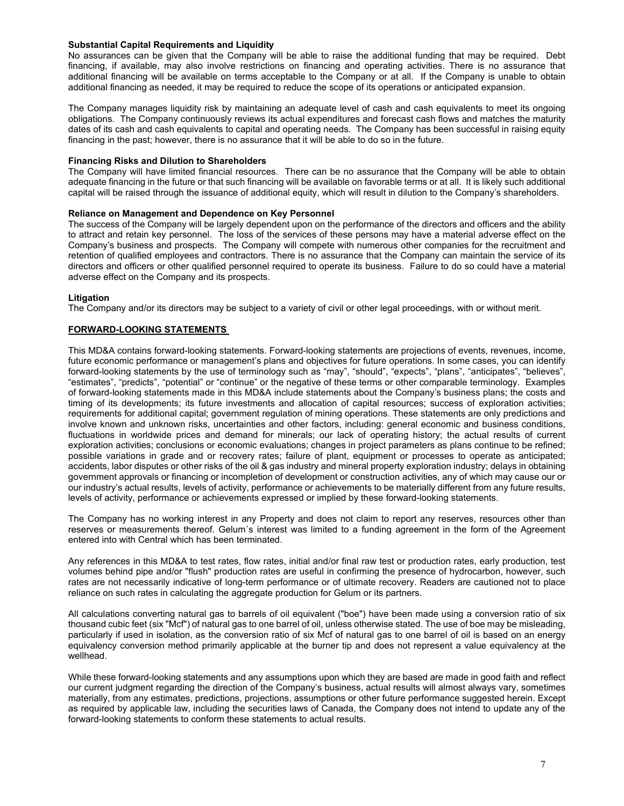### **Substantial Capital Requirements and Liquidity**

No assurances can be given that the Company will be able to raise the additional funding that may be required. Debt financing, if available, may also involve restrictions on financing and operating activities. There is no assurance that additional financing will be available on terms acceptable to the Company or at all. If the Company is unable to obtain additional financing as needed, it may be required to reduce the scope of its operations or anticipated expansion.

The Company manages liquidity risk by maintaining an adequate level of cash and cash equivalents to meet its ongoing obligations. The Company continuously reviews its actual expenditures and forecast cash flows and matches the maturity dates of its cash and cash equivalents to capital and operating needs. The Company has been successful in raising equity financing in the past; however, there is no assurance that it will be able to do so in the future.

### **Financing Risks and Dilution to Shareholders**

The Company will have limited financial resources. There can be no assurance that the Company will be able to obtain adequate financing in the future or that such financing will be available on favorable terms or at all. It is likely such additional capital will be raised through the issuance of additional equity, which will result in dilution to the Company's shareholders.

### **Reliance on Management and Dependence on Key Personnel**

The success of the Company will be largely dependent upon on the performance of the directors and officers and the ability to attract and retain key personnel. The loss of the services of these persons may have a material adverse effect on the Company's business and prospects. The Company will compete with numerous other companies for the recruitment and retention of qualified employees and contractors. There is no assurance that the Company can maintain the service of its directors and officers or other qualified personnel required to operate its business. Failure to do so could have a material adverse effect on the Company and its prospects.

#### **Litigation**

The Company and/or its directors may be subject to a variety of civil or other legal proceedings, with or without merit.

### **FORWARD-LOOKING STATEMENTS**

This MD&A contains forward-looking statements. Forward-looking statements are projections of events, revenues, income, future economic performance or management's plans and objectives for future operations. In some cases, you can identify forward-looking statements by the use of terminology such as "may", "should", "expects", "plans", "anticipates", "believes", "estimates", "predicts", "potential" or "continue" or the negative of these terms or other comparable terminology. Examples of forward-looking statements made in this MD&A include statements about the Company's business plans; the costs and timing of its developments; its future investments and allocation of capital resources; success of exploration activities; requirements for additional capital; government regulation of mining operations. These statements are only predictions and involve known and unknown risks, uncertainties and other factors, including: general economic and business conditions, fluctuations in worldwide prices and demand for minerals; our lack of operating history; the actual results of current exploration activities; conclusions or economic evaluations; changes in project parameters as plans continue to be refined; possible variations in grade and or recovery rates; failure of plant, equipment or processes to operate as anticipated; accidents, labor disputes or other risks of the oil & gas industry and mineral property exploration industry; delays in obtaining government approvals or financing or incompletion of development or construction activities, any of which may cause our or our industry's actual results, levels of activity, performance or achievements to be materially different from any future results, levels of activity, performance or achievements expressed or implied by these forward-looking statements.

The Company has no working interest in any Property and does not claim to report any reserves, resources other than reserves or measurements thereof. Gelum´s interest was limited to a funding agreement in the form of the Agreement entered into with Central which has been terminated.

Any references in this MD&A to test rates, flow rates, initial and/or final raw test or production rates, early production, test volumes behind pipe and/or "flush" production rates are useful in confirming the presence of hydrocarbon, however, such rates are not necessarily indicative of long-term performance or of ultimate recovery. Readers are cautioned not to place reliance on such rates in calculating the aggregate production for Gelum or its partners.

All calculations converting natural gas to barrels of oil equivalent ("boe") have been made using a conversion ratio of six thousand cubic feet (six "Mcf") of natural gas to one barrel of oil, unless otherwise stated. The use of boe may be misleading, particularly if used in isolation, as the conversion ratio of six Mcf of natural gas to one barrel of oil is based on an energy equivalency conversion method primarily applicable at the burner tip and does not represent a value equivalency at the wellhead.

While these forward-looking statements and any assumptions upon which they are based are made in good faith and reflect our current judgment regarding the direction of the Company's business, actual results will almost always vary, sometimes materially, from any estimates, predictions, projections, assumptions or other future performance suggested herein. Except as required by applicable law, including the securities laws of Canada, the Company does not intend to update any of the forward-looking statements to conform these statements to actual results.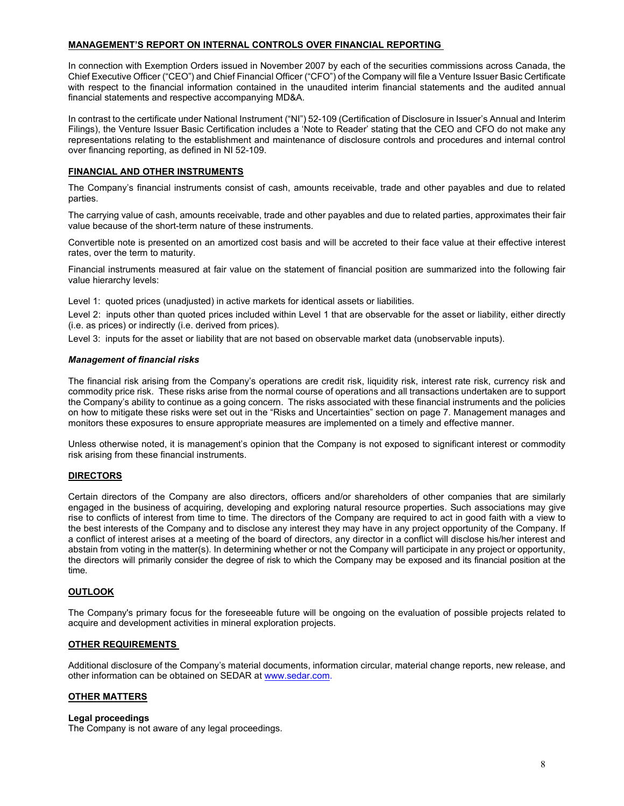# **MANAGEMENT'S REPORT ON INTERNAL CONTROLS OVER FINANCIAL REPORTING**

In connection with Exemption Orders issued in November 2007 by each of the securities commissions across Canada, the Chief Executive Officer ("CEO") and Chief Financial Officer ("CFO") of the Company will file a Venture Issuer Basic Certificate with respect to the financial information contained in the unaudited interim financial statements and the audited annual financial statements and respective accompanying MD&A.

In contrast to the certificate under National Instrument ("NI") 52-109 (Certification of Disclosure in Issuer's Annual and Interim Filings), the Venture Issuer Basic Certification includes a 'Note to Reader' stating that the CEO and CFO do not make any representations relating to the establishment and maintenance of disclosure controls and procedures and internal control over financing reporting, as defined in NI 52-109.

### **FINANCIAL AND OTHER INSTRUMENTS**

The Company's financial instruments consist of cash, amounts receivable, trade and other payables and due to related parties.

The carrying value of cash, amounts receivable, trade and other payables and due to related parties, approximates their fair value because of the short-term nature of these instruments.

Convertible note is presented on an amortized cost basis and will be accreted to their face value at their effective interest rates, over the term to maturity.

Financial instruments measured at fair value on the statement of financial position are summarized into the following fair value hierarchy levels:

Level 1: quoted prices (unadjusted) in active markets for identical assets or liabilities.

Level 2: inputs other than quoted prices included within Level 1 that are observable for the asset or liability, either directly (i.e. as prices) or indirectly (i.e. derived from prices).

Level 3: inputs for the asset or liability that are not based on observable market data (unobservable inputs).

#### *Management of financial risks*

The financial risk arising from the Company's operations are credit risk, liquidity risk, interest rate risk, currency risk and commodity price risk. These risks arise from the normal course of operations and all transactions undertaken are to support the Company's ability to continue as a going concern. The risks associated with these financial instruments and the policies on how to mitigate these risks were set out in the "Risks and Uncertainties" section on page 7. Management manages and monitors these exposures to ensure appropriate measures are implemented on a timely and effective manner.

Unless otherwise noted, it is management's opinion that the Company is not exposed to significant interest or commodity risk arising from these financial instruments.

### **DIRECTORS**

Certain directors of the Company are also directors, officers and/or shareholders of other companies that are similarly engaged in the business of acquiring, developing and exploring natural resource properties. Such associations may give rise to conflicts of interest from time to time. The directors of the Company are required to act in good faith with a view to the best interests of the Company and to disclose any interest they may have in any project opportunity of the Company. If a conflict of interest arises at a meeting of the board of directors, any director in a conflict will disclose his/her interest and abstain from voting in the matter(s). In determining whether or not the Company will participate in any project or opportunity, the directors will primarily consider the degree of risk to which the Company may be exposed and its financial position at the time.

#### **OUTLOOK**

The Company's primary focus for the foreseeable future will be ongoing on the evaluation of possible projects related to acquire and development activities in mineral exploration projects.

### **OTHER REQUIREMENTS**

Additional disclosure of the Company's material documents, information circular, material change reports, new release, and other information can be obtained on SEDAR a[t www.sedar.com.](http://www.sedar.com/)

### **OTHER MATTERS**

### **Legal proceedings**

The Company is not aware of any legal proceedings.